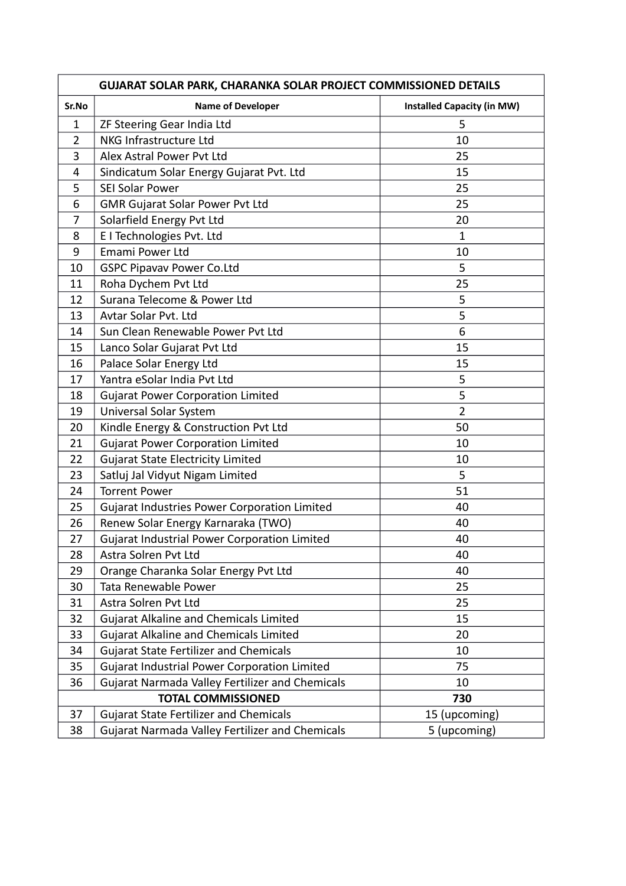| GUJARAT SOLAR PARK, CHARANKA SOLAR PROJECT COMMISSIONED DETAILS |                                                 |                                   |  |
|-----------------------------------------------------------------|-------------------------------------------------|-----------------------------------|--|
| Sr.No                                                           | <b>Name of Developer</b>                        | <b>Installed Capacity (in MW)</b> |  |
| $\mathbf{1}$                                                    | ZF Steering Gear India Ltd                      | 5                                 |  |
| $\overline{2}$                                                  | NKG Infrastructure Ltd                          | 10                                |  |
| 3                                                               | Alex Astral Power Pvt Ltd                       | 25                                |  |
| 4                                                               | Sindicatum Solar Energy Gujarat Pvt. Ltd        | 15                                |  |
| 5                                                               | <b>SEI Solar Power</b>                          | 25                                |  |
| 6                                                               | <b>GMR Gujarat Solar Power Pvt Ltd</b>          | 25                                |  |
| 7                                                               | Solarfield Energy Pvt Ltd                       | 20                                |  |
| 8                                                               | E I Technologies Pvt. Ltd                       | $\mathbf{1}$                      |  |
| 9                                                               | Emami Power Ltd                                 | 10                                |  |
| 10                                                              | <b>GSPC Pipavav Power Co.Ltd</b>                | 5                                 |  |
| 11                                                              | Roha Dychem Pvt Ltd                             | 25                                |  |
| 12                                                              | Surana Telecome & Power Ltd                     | 5                                 |  |
| 13                                                              | Avtar Solar Pvt. Ltd                            | 5                                 |  |
| 14                                                              | Sun Clean Renewable Power Pvt Ltd               | 6                                 |  |
| 15                                                              | Lanco Solar Gujarat Pvt Ltd                     | 15                                |  |
| 16                                                              | Palace Solar Energy Ltd                         | 15                                |  |
| 17                                                              | Yantra eSolar India Pvt Ltd                     | 5                                 |  |
| 18                                                              | <b>Gujarat Power Corporation Limited</b>        | 5                                 |  |
| 19                                                              | Universal Solar System                          | $\overline{2}$                    |  |
| 20                                                              | Kindle Energy & Construction Pvt Ltd            | 50                                |  |
| 21                                                              | <b>Gujarat Power Corporation Limited</b>        | 10                                |  |
| 22                                                              | <b>Gujarat State Electricity Limited</b>        | 10                                |  |
| 23                                                              | Satluj Jal Vidyut Nigam Limited                 | 5                                 |  |
| 24                                                              | <b>Torrent Power</b>                            | 51                                |  |
| 25                                                              | Gujarat Industries Power Corporation Limited    | 40                                |  |
| 26                                                              | Renew Solar Energy Karnaraka (TWO)              | 40                                |  |
| 27                                                              | Gujarat Industrial Power Corporation Limited    | 40                                |  |
| 28                                                              | Astra Solren Pvt Ltd                            | 40                                |  |
| 29                                                              | Orange Charanka Solar Energy Pvt Ltd            | 40                                |  |
| 30                                                              | Tata Renewable Power                            | 25                                |  |
| 31                                                              | Astra Solren Pvt Ltd                            | 25                                |  |
| 32                                                              | <b>Gujarat Alkaline and Chemicals Limited</b>   | 15                                |  |
| 33                                                              | <b>Gujarat Alkaline and Chemicals Limited</b>   | 20                                |  |
| 34                                                              | <b>Gujarat State Fertilizer and Chemicals</b>   | 10                                |  |
| 35                                                              | Gujarat Industrial Power Corporation Limited    | 75                                |  |
| 36                                                              | Gujarat Narmada Valley Fertilizer and Chemicals | 10                                |  |
|                                                                 | <b>TOTAL COMMISSIONED</b>                       | 730                               |  |
| 37                                                              | <b>Gujarat State Fertilizer and Chemicals</b>   | 15 (upcoming)                     |  |
| 38                                                              | Gujarat Narmada Valley Fertilizer and Chemicals | 5 (upcoming)                      |  |